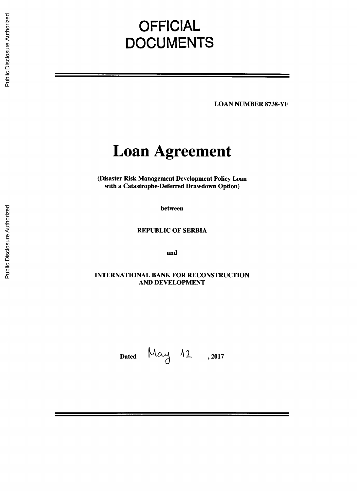# **OFFICIAL DOCUMENTS**

**LOAN NUMBER 8738-YF**

# **Loan Agreement**

(Disaster Risk Management Development Policy Loan with a Catastrophe-Deferred Drawdown Option)

between

REPUBLIC OF SERBIA

and

**INTERNATIONAL** BANK FOR **RECONSTRUCTION AND DEVELOPMENT**

Dated  $May 12$ , 2017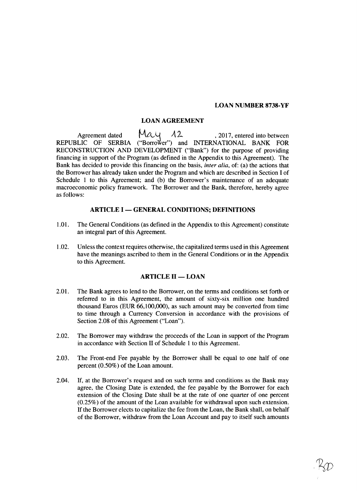## **LOAN NUMBER 8738-YF**

# **LOAN AGREEMENT**

Agreement dated  $MAU$   $A2$ , 2017, entered into between REPUBLIC OF SERBIA ("Borrower") and **INTERNATIONAL** BANK FOR **RECONSTRUCTION AND DEVELOPMENT** ("Bank") for the purpose of providing financing in support of the Program (as defined in the Appendix to this Agreement). The Bank has decided to provide this financing on the basis, *inter alia,* of: (a) the actions that the Borrower has already taken under the Program and which are described in Section **I** of Schedule 1 to this Agreement; and **(b)** the Borrower's maintenance of an adequate macroeconomic policy framework. The Borrower and the Bank, therefore, hereby agree as follows:

## **ARTICLE I - GENERAL CONDITIONS; DEFINITIONS**

- **1.01.** The General Conditions (as defined in the Appendix to this Agreement) constitute an integral part of this Agreement.
- 1.02. Unless the context requires otherwise, the capitalized terms used in this Agreement have the meanings ascribed to them in the General Conditions or in the Appendix to this Agreement.

# **ARTICLE II - LOAN**

- 2.01. The Bank agrees to lend to the Borrower, on the terms and conditions set forth or referred to in this Agreement, the amount of sixty-six million one hundred thousand Euros (EUR **66,100,000),** as such amount may be converted from time to time through a Currency Conversion in accordance with the provisions of Section **2.08** of this Agreement ("Loan").
- 2.02. The Borrower may withdraw the proceeds of the Loan in support of the Program in accordance with Section II of Schedule 1 to this Agreement.
- **2.03.** The Front-end Fee payable **by** the Borrower shall be equal to one half of one percent **(0.50%)** of the Loan amount.
- 2.04. If, at the Borrower's request and on such terms and conditions as the Bank may agree, the Closing Date is extended, the fee payable **by** the Borrower for each extension of the Closing Date shall be at the rate of one quarter of one percent *(0.25%)* of the amount of the Loan available for withdrawal upon such extension. **If** the Borrower elects to capitalize the fee from the Loan, the Bank shall, on behalf of the Borrower, withdraw from the Loan Account and pay to itself such amounts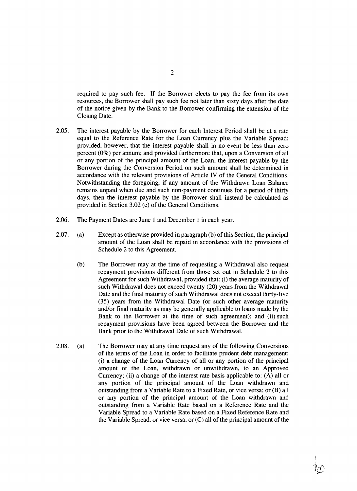required to pay such fee. **If** the Borrower elects to pay the fee from its own resources, the Borrower shall pay such fee not later than sixty days after the date of the notice given **by** the Bank to the Borrower confirming the extension of the Closing Date.

- **2.05.** The interest payable **by** the Borrower for each Interest Period shall be at a rate equal to the Reference Rate for the Loan Currency plus the Variable Spread; provided, however, that the interest payable shall in no event be less than zero percent **(0%)** per annum; and provided furthermore that, upon a Conversion of all or any portion of the principal amount of the Loan, the interest payable **by** the Borrower during the Conversion Period on such amount shall be determined in accordance with the relevant provisions of Article IV of the General Conditions. Notwithstanding the foregoing, if any amount of the Withdrawn Loan Balance remains unpaid when due and such non-payment continues for a period of thirty days, then the interest payable **by** the Borrower shall instead be calculated as provided in Section **3.02** (e) of the General Conditions.
- **2.06.** The Payment Dates are June 1 and December 1 in each year.
- **2.07.** (a) Except as otherwise provided in paragraph **(b)** of this Section, the principal amount of the Loan shall be repaid in accordance with the provisions of Schedule 2 to this Agreement.
	- **(b)** The Borrower may at the time of requesting a Withdrawal also request repayment provisions different from those set out in Schedule 2 to this Agreement for such Withdrawal, provided that: (i) the average maturity of such Withdrawal does not exceed twenty (20) years from the Withdrawal Date and the final maturity of such Withdrawal does not exceed thirty-five **(35)** years from the Withdrawal Date (or such other average maturity and/or final maturity as may be generally applicable to loans made **by** the Bank to the Borrower at the time of such agreement); and (ii) such repayment provisions have been agreed between the Borrower and the Bank prior to the Withdrawal Date of such Withdrawal.
- **2.08.** (a) The Borrower may at any time request any of the following Conversions of the terms of the Loan in order to facilitate prudent debt management: (i) a change of the Loan Currency of all or any portion of the principal amount of the Loan, withdrawn or unwithdrawn, to an Approved Currency; (ii) a change of the interest rate basis applicable to: **(A)** all or any portion of the principal amount of the Loan withdrawn and outstanding from a Variable Rate to a Fixed Rate, or vice versa; or (B) all or any portion of the principal amount of the Loan withdrawn and outstanding from a Variable Rate based on a Reference Rate and the Variable Spread to a Variable Rate based on a Fixed Reference Rate and the Variable Spread, or vice versa; or **(C)** all of the principal amount of the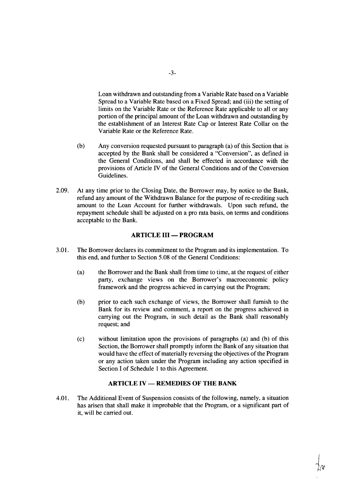Loan withdrawn and outstanding from a Variable Rate based on a Variable Spread to a Variable Rate based on a Fixed Spread; and (iii) the setting of limits on the Variable Rate or the Reference Rate applicable to all or any portion of the principal amount of the Loan withdrawn and outstanding **by** the establishment of an Interest Rate Cap or Interest Rate Collar on the Variable Rate or the Reference Rate.

- **(b)** Any conversion requested pursuant to paragraph (a) of this Section that is accepted **by** the Bank shall be considered a "Conversion", as defined in the General Conditions, and shall be effected in accordance with the provisions of Article IV of the General Conditions and of the Conversion Guidelines.
- **2.09.** At any time prior to the Closing Date, the Borrower may, **by** notice to the Bank, refund any amount of the Withdrawn Balance for the purpose of re-crediting such amount to the Loan Account for further withdrawals. Upon such refund, the repayment schedule shall be adjusted on a pro rata basis, on terms and conditions acceptable to the Bank.

## **ARTICLE III - PROGRAM**

- **3.01.** The Borrower declares its commitment to the Program and its implementation. To this end, and further to Section **5.08** of the General Conditions:
	- (a) the Borrower and the Bank shall from time to time, at the request of either party, exchange views on the Borrower's macroeconomic policy framework and the progress achieved in carrying out the Program;
	- **(b)** prior to each such exchange of views, the Borrower shall furnish to the Bank for its review and comment, a report on the progress achieved in carrying out the Program, in such detail as the Bank shall reasonably request; and
	- **(c)** without limitation upon the provisions of paragraphs (a) and **(b)** of this Section, the Borrower shall promptly inform the Bank of any situation that would have the effect of materially reversing the objectives of the Program or any action taken under the Program including any action specified in Section I of Schedule 1 to this Agreement.

# **ARTICLE IV - REMEDIES OF THE BANK**

4.01. The Additional Event of Suspension consists of the following, namely, a situation has arisen that shall make it improbable that the Program, or a significant part of it, will be carried out.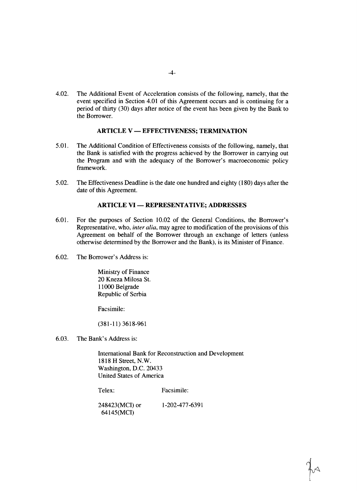4.02. The Additional Event of Acceleration consists of the following, namely, that the event specified in Section 4.01 of this Agreement occurs and is continuing for a period of thirty **(30)** days after notice of the event has been given **by** the Bank to the Borrower.

## ARTICLE V **- EFFECTIVENESS;** TERMINATION

- *5.01.* The Additional Condition of Effectiveness consists of the following, namely, that the Bank is satisfied with the progress achieved **by** the Borrower in carrying out the Program and with the adequacy of the Borrower's macroeconomic policy framework.
- *5.02.* The Effectiveness Deadline is the date one hundred and eighty **(180)** days after the date of this Agreement.

# **ARTICLE VI - REPRESENTATIVE; ADDRESSES**

- **6.01.** For the purposes of Section 10.02 of the General Conditions, the Borrower's Representative, who, *inter alia,* may agree to modification of the provisions of this Agreement on behalf of the Borrower through an exchange of letters (unless otherwise determined **by** the Borrower and the Bank), is its Minister of Finance.
- **6.02.** The Borrower's Address is:

Ministry of Finance 20 Kneza Milosa St. **11000** Belgrade Republic of Serbia

Facsimile:

**(381-11) 3618-961**

**6.03.** The Bank's Address is:

International Bank for Reconstruction and Development **1818** H Street, N.W. Washington, **D.C.** 20433 United States of America

Telex: Facsimile:

248423(MCI) or **1-202-477-6391** 64145(MCI)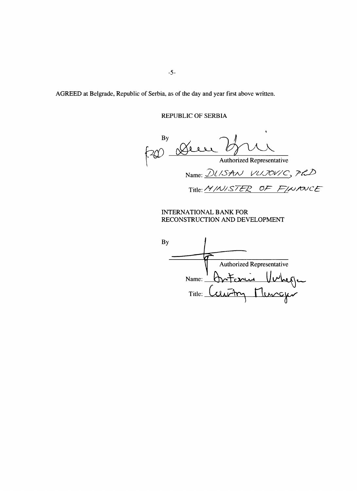AGREED at Belgrade, Republic of Serbia, as of the day and year first above written.

REPUBLIC OF SERBIA

**By**  $\Omega$ ା\  $700$ Authorized Representative Name: *DLISAN VUJOVIC*, PLD Title: MINISTER OF FINANCE

INTERNATIONAL BANK FOR RECONSTRUCTION **AND DEVELOPMENT**

**By** Authorized Representative Name:  $\overline{\phantom{a}}$  $\overline{\phantom{a}}$  $T$ itle: *Calima* Fleurcy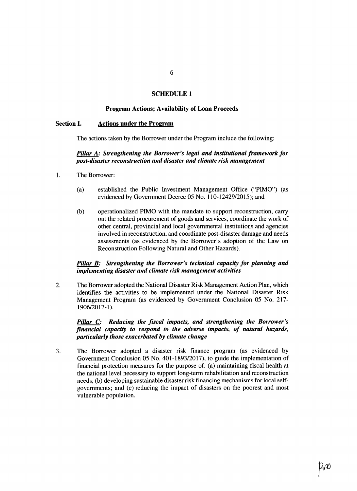## **SCHEDULE 1**

# **Program Actions; Availability of Loan Proceeds**

#### **Section I.** Actions under the Program

The actions taken **by** the Borrower under the Program include the following:

## *Pillar A: Strengthening the Borrower's legal and institutional framework for post-disaster reconstruction and disaster and climate risk management*

- 1. The Borrower:
	- (a) established the Public Investment Management Office ("PIMO") (as evidenced **by** Government Decree **05** No. 110-12429/2015); and
	- **(b)** operationalized PIMO with the mandate to support reconstruction, carry out the related procurement of goods and services, coordinate the work of other central, provincial and local governmental institutions and agencies involved in reconstruction, and coordinate post-disaster damage and needs assessments (as evidenced **by** the Borrower's adoption of the Law on Reconstruction Following Natural and Other Hazards).

## *Pillar B: Strengthening the Borrower's technical capacity for planning and implementing disaster and climate risk management activities*

2. The Borrower adopted the National Disaster Risk Management Action Plan, which identifies the activities to be implemented under the National Disaster Risk Management Program (as evidenced **by** Government Conclusion **05** No. **217- 1906/2017-1).**

# *Pillar C: Reducing the fiscal impacts, and strengthening the Borrower's financial capacity to respond to the adverse impacts, of natural hazards, particularly those exacerbated by climate change*

**3.** The Borrower adopted a disaster risk finance program (as evidenced **by** Government Conclusion **05** No. **401-1893/2017),** to guide the implementation of financial protection measures for the purpose of: (a) maintaining fiscal health at the national level necessary to support long-term rehabilitation and reconstruction needs; **(b)** developing sustainable disaster risk financing mechanisms for local selfgovernments; and (c) reducing the impact of disasters on the poorest and most vulnerable population.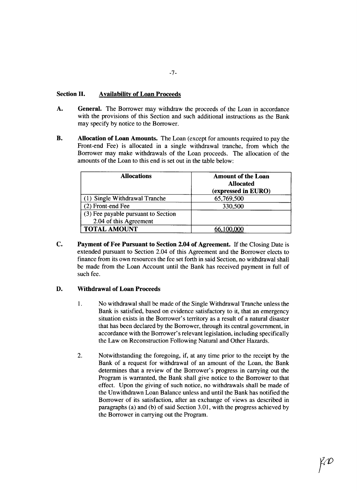# **Section II. Availability of Loan Proceeds**

- **A. General.** The Borrower may withdraw the proceeds of the Loan in accordance with the provisions of this Section and such additional instructions as the Bank may specify **by** notice to the Borrower.
- B. **Allocation of Loan Amounts.** The Loan (except for amounts required to pay the Front-end Fee) is allocated in a single withdrawal tranche, from which the Borrower may make withdrawals of the Loan proceeds. The allocation of the amounts of the Loan to this end is set out in the table below:

| <b>Allocations</b>                  | <b>Amount of the Loan</b><br><b>Allocated</b><br>(expressed in EURO) |
|-------------------------------------|----------------------------------------------------------------------|
| (1) Single Withdrawal Tranche       | 65,769,500                                                           |
| (2) Front-end Fee                   | 330,500                                                              |
| (3) Fee payable pursuant to Section |                                                                      |
| 2.04 of this Agreement              |                                                                      |
| <b>TOTAL AMOUNT</b>                 | <u>66,100,000</u>                                                    |

**C. Payment of Fee Pursuant to** Section 2.04 of Agreement. If the Closing Date is extended pursuant to Section 2.04 of this Agreement and the Borrower elects to finance from its own resources the fee set forth in said Section, no withdrawal shall be made from the Loan Account until the Bank has received payment in full of such fee.

# **D. Withdrawal of Loan Proceeds**

- **1.** No withdrawal shall be made of the Single Withdrawal Tranche unless the Bank is satisfied, based on evidence satisfactory to it, that an emergency situation exists in the Borrower's territory as a result of a natural disaster that has been declared **by** the Borrower, through its central government, in accordance with the Borrower's relevant legislation, including specifically the Law on Reconstruction Following Natural and Other Hazards.
- 2. Notwithstanding the foregoing, if, at any time prior to the receipt **by** the Bank of a request for withdrawal of an amount of the Loan, the Bank determines that a review of the Borrower's progress in carrying out the Program is warranted, the Bank shall give notice to the Borrower to that effect. Upon the giving of such notice, no withdrawals shall be made of the Unwithdrawn Loan Balance unless and until the Bank has notified the Borrower of its satisfaction, after an exchange of views as described in paragraphs (a) and **(b)** of said Section **3.01,** with the progress achieved **by** the Borrower in carrying out the Program.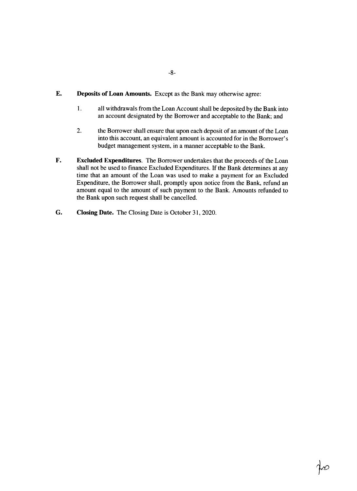- **-8-**
- **E. Deposits of Loan Amounts.** Except as the Bank may otherwise agree:
	- **1.** all withdrawals from the Loan Account shall be deposited **by** the Bank into an account designated **by** the Borrower and acceptable to the Bank; and
	- 2. the Borrower shall ensure that upon each deposit of an amount of the Loan into this account, an equivalent amount is accounted for in the Borrower's budget management system, in a manner acceptable to the Bank.
- F. **Excluded Expenditures.** The Borrower undertakes that the proceeds of the Loan shall not be used to finance Excluded Expenditures. If the Bank determines at any time that an amount of the Loan was used to make a payment for an Excluded Expenditure, the Borrower shall, promptly upon notice from the Bank, refund an amount equal to the amount of such payment to the Bank. Amounts refunded to the Bank upon such request shall be cancelled.
- **G. Closing Date.** The Closing Date is October **31,** 2020.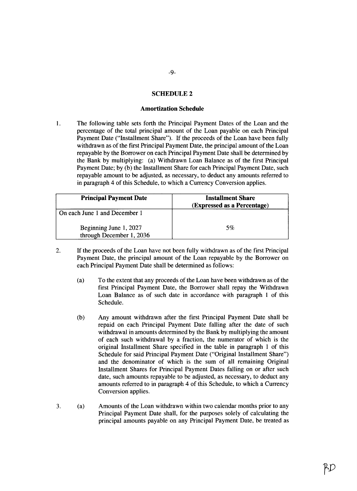## **SCHEDULE 2**

#### **Amortization Schedule**

The following table sets forth the Principal Payment Dates of the Loan and the  $1.$ percentage of the total principal amount of the Loan payable on each Principal Payment Date ("Installment Share"). **If** the proceeds of the Loan have been fully withdrawn as of the first Principal Payment Date, the principal amount of the Loan repayable **by** the Borrower on each Principal Payment Date shall be determined **by** the Bank **by** multiplying: (a) Withdrawn Loan Balance as of the first Principal Payment Date; **by (b)** the Installment Share for each Principal Payment Date, such repayable amount to be adjusted, as necessary, to deduct any amounts referred to in paragraph 4 of this Schedule, to which a Currency Conversion applies.

| <b>Principal Payment Date</b>                      | <b>Installment Share</b><br>(Expressed as a Percentage) |
|----------------------------------------------------|---------------------------------------------------------|
| On each June 1 and December 1                      |                                                         |
| Beginning June 1, 2027<br>through December 1, 2036 | 5%                                                      |

- 2. **If** the proceeds of the Loan have not been fully withdrawn as of the first Principal Payment Date, the principal amount of the Loan repayable **by** the Borrower on each Principal Payment Date shall be determined as follows:
	- (a) To the extent that any proceeds of the Loan have been withdrawn as of the first Principal Payment Date, the Borrower shall repay the Withdrawn Loan Balance as of such date in accordance with paragraph **I** of this Schedule.
	- **(b)** Any amount withdrawn after the first Principal Payment Date shall be repaid on each Principal Payment Date falling after the date of such withdrawal in amounts determined **by** the Bank **by** multiplying the amount of each such withdrawal **by** a fraction, the numerator of which is the original Installment Share specified in the table in paragraph 1 of this Schedule for said Principal Payment Date ("Original Installment Share") and the denominator of which is the sum of all remaining Original Installment Shares for Principal Payment Dates falling on or after such date, such amounts repayable to be adjusted, as necessary, to deduct any amounts referred to in paragraph 4 of this Schedule, to which a Currency Conversion applies.
- **3.** (a) Amounts of the Loan withdrawn within two calendar months prior to any Principal Payment Date shall, for the purposes solely of calculating the principal amounts payable on any Principal Payment Date, be treated as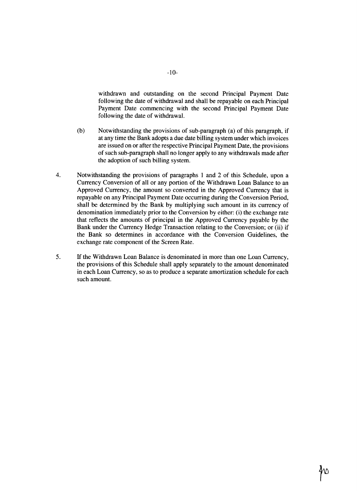withdrawn and outstanding on the second Principal Payment Date following the date of withdrawal and shall be repayable on each Principal Payment Date commencing with the second Principal Payment Date following the date of withdrawal.

- **(b)** Notwithstanding the provisions of sub-paragraph (a) of this paragraph, if at any time the Bank adopts a due date billing system under which invoices are issued on or after the respective Principal Payment Date, the provisions of such sub-paragraph shall no longer apply to any withdrawals made after the adoption of such billing system.
- 4. Notwithstanding the provisions of paragraphs **I** and 2 of this Schedule, upon a Currency Conversion of all or any portion of the Withdrawn Loan Balance to an Approved Currency, the amount so converted in the Approved Currency that is repayable on any Principal Payment Date occurring during the Conversion Period, shall be determined **by** the Bank **by** multiplying such amount in its currency of denomination immediately prior to the Conversion **by** either: (i) the exchange rate that reflects the amounts of principal in the Approved Currency payable **by** the Bank under the Currency Hedge Transaction relating to the Conversion; or (ii) if the Bank so determines in accordance with the Conversion Guidelines, the exchange rate component of the Screen Rate.
- **5. If** the Withdrawn Loan Balance is denominated in more than one Loan Currency, the provisions of this Schedule shall apply separately to the amount denominated in each Loan Currency, so as to produce a separate amortization schedule for each such amount.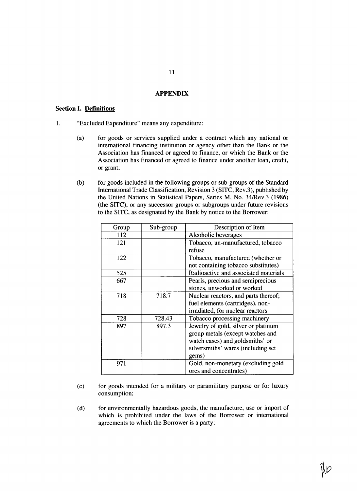## **APPENDIX**

## **Section I. Definitions**

- **1.** "Excluded Expenditure" means any expenditure:
	- (a) for goods or services supplied under a contract which any national or international financing institution or agency other than the Bank or the Association has financed or agreed to finance, or which the Bank or the Association has financed or agreed to finance under another loan, credit, or grant;
	- **(b)** for goods included in the following groups or sub-groups of the Standard International Trade Classification, Revision **3 (SITC,** Rev.3), published **by** the United Nations in Statistical Papers, Series M, No. 34/Rev.3 **(1986)** (the **SITC),** or any successor groups or subgroups under future revisions to the **SITC,** as designated **by** the Bank **by** notice to the Borrower:

| Group | Sub-group | Description of Item                  |
|-------|-----------|--------------------------------------|
| 112   |           | Alcoholic beverages                  |
| 121   |           | Tobacco, un-manufactured, tobacco    |
|       |           | refuse                               |
| 122   |           | Tobacco, manufactured (whether or    |
|       |           | not containing tobacco substitutes)  |
| 525   |           | Radioactive and associated materials |
| 667   |           | Pearls, precious and semiprecious    |
|       |           | stones, unworked or worked           |
| 718   | 718.7     | Nuclear reactors, and parts thereof; |
|       |           | fuel elements (cartridges), non-     |
|       |           | irradiated, for nuclear reactors     |
| 728   | 728.43    | Tobacco processing machinery         |
| 897   | 897.3     | Jewelry of gold, silver or platinum  |
|       |           | group metals (except watches and     |
|       |           | watch cases) and goldsmiths' or      |
|       |           | silversmiths' wares (including set   |
|       |           | gems)                                |
| 971   |           | Gold, non-monetary (excluding gold   |
|       |           | ores and concentrates)               |

- **(c)** for goods intended for a military or paramilitary purpose or for luxury consumption;
- **(d)** for environmentally hazardous goods, the manufacture, use or import of which is prohibited under the laws of the Borrower or international agreements to which the Borrower is a party;

fp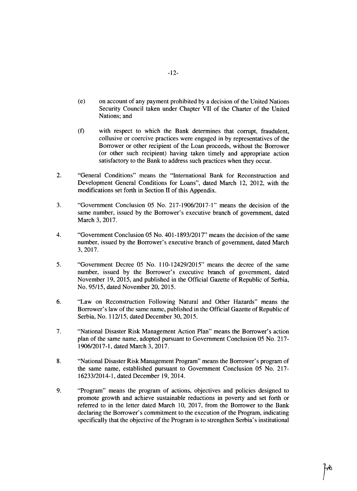- (e) on account of any payment prohibited **by** a decision of the United Nations Security Council taken under Chapter VII of the Charter of the United Nations; and
- **(f)** with respect to which the Bank determines that corrupt, fraudulent, collusive or coercive practices were engaged in **by** representatives of the Borrower or other recipient of the Loan proceeds, without the Borrower (or other such recipient) having taken timely and appropriate action satisfactory to the Bank to address such practices when they occur.
- 2. "General Conditions" means the "International Bank for Reconstruction and Development General Conditions for Loans", dated March 12, 2012, with the modifications set forth in Section II of this Appendix.
- **3.** "Government Conclusion **05** No. **217-1906/2017-1"** means the decision of the same number, issued **by** the Borrower's executive branch of government, dated March **3, 2017.**
- 4. "Government Conclusion **05** No. **401-1893/2017"** means the decision of the same number, issued **by** the Borrower's executive branch of government, dated March **3, 2017.**
- *5.* "Government Decree **05** No. 110-12429/2015" means the decree of the same number, issued **by** the Borrower's executive branch of government, dated November **19, 2015,** and published in the Official Gazette of Republic of Serbia, No. **95/15,** dated November 20, **2015.**
- **6.** "Law on Reconstruction Following Natural and Other Hazards" means the Borrower's law of the same name, published in the Official Gazette of Republic of Serbia, No. **112/15,** dated December **30, 2015.**
- **7.** "National Disaster Risk Management Action Plan" means the Borrower's action plan of the same name, adopted pursuant to Government Conclusion **05** No. **217- 1906/2017-1,** dated March **3, 2017.**
- **8.** "National Disaster Risk Management Program" means the Borrower's program of the same name, established pursuant to Government Conclusion **05** No. **217-** 16233/2014-1, dated December **19,** 2014.
- **9.** "Program" means the program of actions, objectives and policies designed to promote growth and achieve sustainable reductions in poverty and set forth or referred to in the letter dated March **10, 2017,** from the Borrower to the Bank declaring the Borrower's commitment to the execution of the Program, indicating specifically that the objective of the Program is to strengthen Serbia's institutional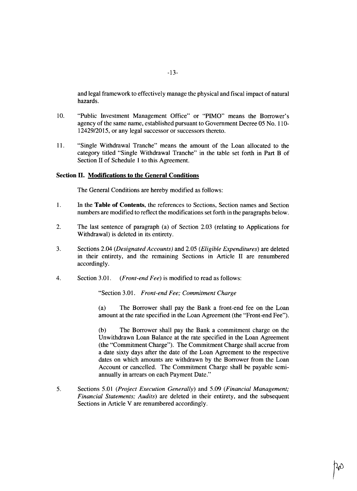and legal framework to effectively manage the physical and fiscal impact of natural hazards.

- **10.** "Public Investment Management Office" or "PIMO" means the Borrower's agency of the same name, established pursuant to Government Decree **05** No. **110-** 12429/2015, or any legal successor or successors thereto.
- **11.** "Single Withdrawal Tranche" means the amount of the Loan allocated to the category titled "Single Withdrawal Tranche" in the table set forth in Part B of Section II of Schedule 1 to this Agreement.

# Section **II. Modifications to the General Conditions**

The General Conditions are hereby modified as follows:

- 1 **.** In the **Table of Contents,** the references to Sections, Section names and Section numbers are modified to reflect the modifications set forth in the paragraphs below.
- 2. The last sentence of paragraph (a) of Section **2.03** (relating to Applications for Withdrawal) is deleted in its entirety.
- **3.** Sections 2.04 *(Designated Accounts)* and **2.05** *(Eligible Expenditures)* are deleted in their entirety, and the remaining Sections in Article II are renumbered accordingly.
- 4. Section **3.01.** *(Front-end Fee)* is modified to read as follows:

"Section **3.01.** *Front-end Fee; Commitment Charge*

(a) The Borrower shall pay the Bank a front-end fee on the Loan amount at the rate specified in the Loan Agreement (the "Front-end Fee").

**(b)** The Borrower shall pay the Bank a commitment charge on the Unwithdrawn Loan Balance at the rate specified in the Loan Agreement (the "Commitment Charge"). The Commitment Charge shall accrue from a date sixty days after the date of the Loan Agreement to the respective dates on which amounts are withdrawn **by** the Borrower from the Loan Account or cancelled. The Commitment Charge shall be payable semiannually in arrears on each Payment Date."

*5.* Sections *5.01 (Project Execution Generally)* and **5.09** *(Financial Management; Financial Statements; Audits)* are deleted in their entirety, and the subsequent Sections in Article V are renumbered accordingly.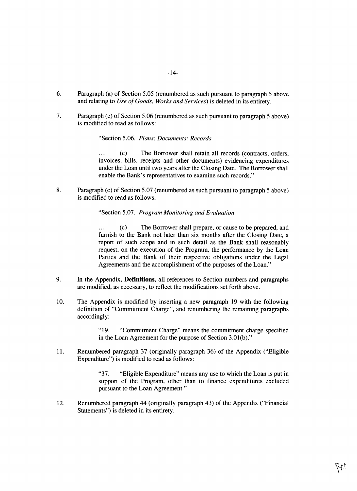- -14-
- **6.** Paragraph (a) of Section **5.05** (renumbered as such pursuant to paragraph **5** above and relating to *Use of Goods, Works and Services)* is deleted in its entirety.
- **7.** Paragraph (c) of Section **5.06** (renumbered as such pursuant to paragraph *5* above) is modified to read as follows:

"Section **5.06.** *Plans; Documents; Records*

**(c)** The Borrower shall retain all records (contracts, orders,  $\ddotsc$ invoices, bills, receipts and other documents) evidencing expenditures under the Loan until two years after the Closing Date. The Borrower shall enable the Bank's representatives to examine such records."

**8.** Paragraph (c) of Section **5.07** (renumbered as such pursuant to paragraph **5** above) is modified to read as follows:

"Section **5.07.** *Program Monitoring and Evaluation*

**... (c)** The Borrower shall prepare, or cause to be prepared, and furnish to the Bank not later than six months after the Closing Date, a report of such scope and in such detail as the Bank shall reasonably request, on the execution of the Program, the performance **by** the Loan Parties and the Bank of their respective obligations under the Legal Agreements and the accomplishment of the purposes of the Loan."

- **9.** In the Appendix, Definitions, all references to Section numbers and paragraphs are modified, as necessary, to reflect the modifications set forth above.
- **10.** The Appendix is modified **by** inserting a new paragraph **19** with the following definition of "Commitment Charge", and renumbering the remaining paragraphs accordingly:

**"19.** "Commitment Charge" means the commitment charge specified in the Loan Agreement for the purpose of Section **3.01(b)."**

**11.** Renumbered paragraph **37** (originally paragraph **36)** of the Appendix ("Eligible Expenditure") is modified to read as follows:

> **"37.** "Eligible Expenditure" means any use to which the Loan is put in support of the Program, other than to finance expenditures excluded pursuant to the Loan Agreement."

12. Renumbered paragraph 44 (originally paragraph 43) of the Appendix ("Financial Statements") is deleted in its entirety.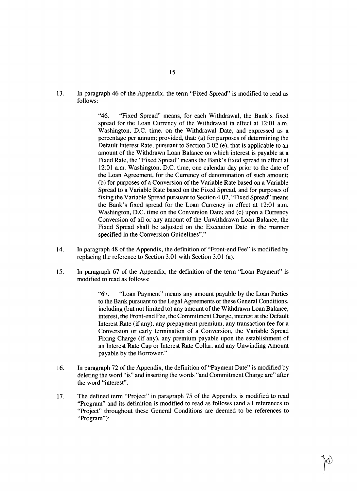**13.** In paragraph 46 of the Appendix, the term "Fixed Spread" is modified to read as **follows:**

> "46. "Fixed Spread" means, for each Withdrawal, the Bank's fixed spread for the Loan Currency of the Withdrawal in effect at 12:01 a.m. Washington, **D.C.** time, on the Withdrawal Date, and expressed as a percentage per annum; provided, that: (a) for purposes of determining the Default Interest Rate, pursuant to Section **3.02** (e), that is applicable to an amount of the Withdrawn Loan Balance on which interest is payable at a Fixed Rate, the "Fixed Spread" means the Bank's fixed spread in effect at 12:01 a.m. Washington, **D.C.** time, one calendar day prior to the date of the Loan Agreement, for the Currency of denomination of such amount; **(b)** for purposes of a Conversion of the Variable Rate based on a Variable Spread to a Variable Rate based on the Fixed Spread, and for purposes of fixing the Variable Spread pursuant to Section 4.02, "Fixed Spread" means the Bank's fixed spread for the Loan Currency in effect at 12:01 a.m. Washington, **D.C.** time on the Conversion Date; and (c) upon a Currency Conversion of all or any amount of the Unwithdrawn Loan Balance, the Fixed Spread shall be adjusted on the Execution Date in the manner specified in the Conversion Guidelines"."

- 14. In paragraph 48 of the Appendix, the definition of "Front-end Fee" is modified **by** replacing the reference to Section **3.01** with Section **3.01** (a).
- *15.* In paragraph **67** of the Appendix, the definition of the term "Loan Payment" is modified to read as follows:

**"67.** "Loan Payment" means any amount payable **by** the Loan Parties to the Bank pursuant to the Legal Agreements or these General Conditions, including (but not limited to) any amount of the Withdrawn Loan Balance, interest, the Front-end Fee, the Commitment Charge, interest at the Default Interest Rate (if any), any prepayment premium, any transaction fee for a Conversion or early termination of a Conversion, the Variable Spread Fixing Charge (if any), any premium payable upon the establishment of an Interest Rate Cap or Interest Rate Collar, and any Unwinding Amount payable **by** the Borrower."

- **16.** In paragraph **72** of the Appendix, the definition of "Payment Date" is modified **by** deleting the word "is" and inserting the words "and Commitment Charge are" after the word "interest".
- **17.** The defined term "Project" in paragraph **75** of the Appendix is modified to read "Program" and its definition is modified to read as follows (and all references to "Project" throughout these General Conditions are deemed to be references to "Program"):